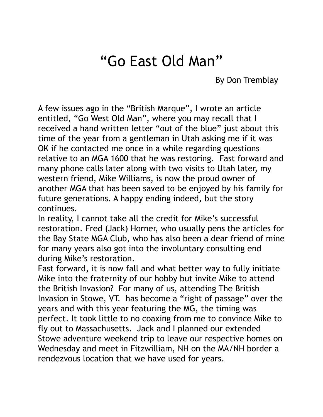## "Go East Old Man"

By Don Tremblay

A few issues ago in the "British Marque", I wrote an article entitled, "Go West Old Man", where you may recall that I received a hand written letter "out of the blue" just about this time of the year from a gentleman in Utah asking me if it was OK if he contacted me once in a while regarding questions relative to an MGA 1600 that he was restoring. Fast forward and many phone calls later along with two visits to Utah later, my western friend, Mike Williams, is now the proud owner of another MGA that has been saved to be enjoyed by his family for future generations. A happy ending indeed, but the story continues.

In reality, I cannot take all the credit for Mike's successful restoration. Fred (Jack) Horner, who usually pens the articles for the Bay State MGA Club, who has also been a dear friend of mine for many years also got into the involuntary consulting end during Mike's restoration.

Fast forward, it is now fall and what better way to fully initiate Mike into the fraternity of our hobby but invite Mike to attend the British Invasion? For many of us, attending The British Invasion in Stowe, VT. has become a "right of passage" over the years and with this year featuring the MG, the timing was perfect. It took little to no coaxing from me to convince Mike to fly out to Massachusetts. Jack and I planned our extended Stowe adventure weekend trip to leave our respective homes on Wednesday and meet in Fitzwilliam, NH on the MA/NH border a rendezvous location that we have used for years.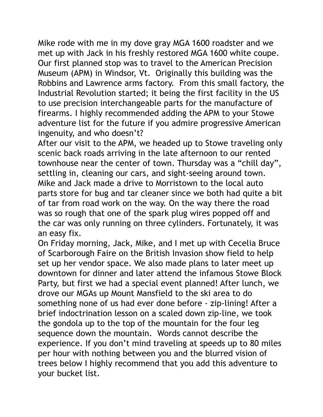Mike rode with me in my dove gray MGA 1600 roadster and we met up with Jack in his freshly restored MGA 1600 white coupe. Our first planned stop was to travel to the American Precision Museum (APM) in Windsor, Vt. Originally this building was the Robbins and Lawrence arms factory. From this small factory, the Industrial Revolution started; it being the first facility in the US to use precision interchangeable parts for the manufacture of firearms. I highly recommended adding the APM to your Stowe adventure list for the future if you admire progressive American ingenuity, and who doesn't?

After our visit to the APM, we headed up to Stowe traveling only scenic back roads arriving in the late afternoon to our rented townhouse near the center of town. Thursday was a "chill day", settling in, cleaning our cars, and sight-seeing around town. Mike and Jack made a drive to Morristown to the local auto parts store for bug and tar cleaner since we both had quite a bit of tar from road work on the way. On the way there the road was so rough that one of the spark plug wires popped off and the car was only running on three cylinders. Fortunately, it was an easy fix.

On Friday morning, Jack, Mike, and I met up with Cecelia Bruce of Scarborough Faire on the British Invasion show field to help set up her vendor space. We also made plans to later meet up downtown for dinner and later attend the infamous Stowe Block Party, but first we had a special event planned! After lunch, we drove our MGAs up Mount Mansfield to the ski area to do something none of us had ever done before - zip-lining! After a brief indoctrination lesson on a scaled down zip-line, we took the gondola up to the top of the mountain for the four leg sequence down the mountain. Words cannot describe the experience. If you don't mind traveling at speeds up to 80 miles per hour with nothing between you and the blurred vision of trees below I highly recommend that you add this adventure to your bucket list.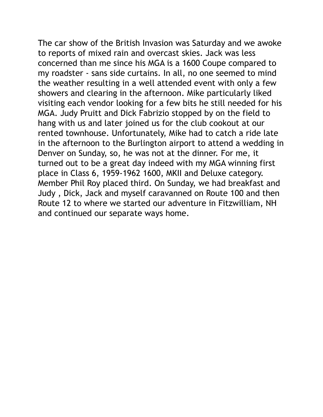The car show of the British Invasion was Saturday and we awoke to reports of mixed rain and overcast skies. Jack was less concerned than me since his MGA is a 1600 Coupe compared to my roadster - sans side curtains. In all, no one seemed to mind the weather resulting in a well attended event with only a few showers and clearing in the afternoon. Mike particularly liked visiting each vendor looking for a few bits he still needed for his MGA. Judy Pruitt and Dick Fabrizio stopped by on the field to hang with us and later joined us for the club cookout at our rented townhouse. Unfortunately, Mike had to catch a ride late in the afternoon to the Burlington airport to attend a wedding in Denver on Sunday, so, he was not at the dinner. For me, it turned out to be a great day indeed with my MGA winning first place in Class 6, 1959-1962 1600, MKII and Deluxe category. Member Phil Roy placed third. On Sunday, we had breakfast and Judy , Dick, Jack and myself caravanned on Route 100 and then Route 12 to where we started our adventure in Fitzwilliam, NH and continued our separate ways home.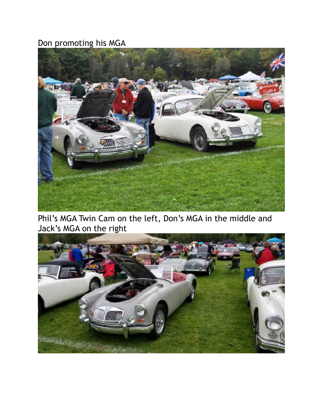## Don promoting his MGA



Phil's MGA Twin Cam on the left, Don's MGA in the middle and Jack's MGA on the right

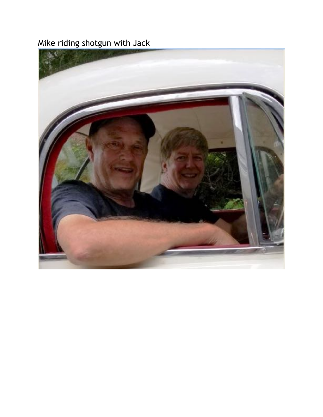Mike riding shotgun with Jack

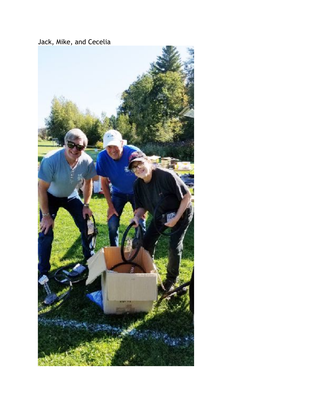Jack, Mike, and Cecelia

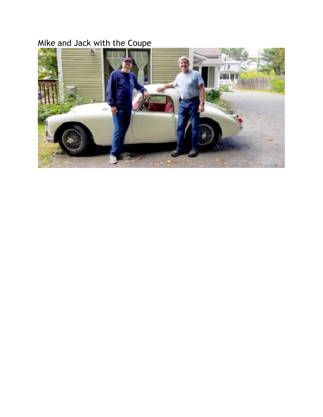## Mike and Jack with the Coupe